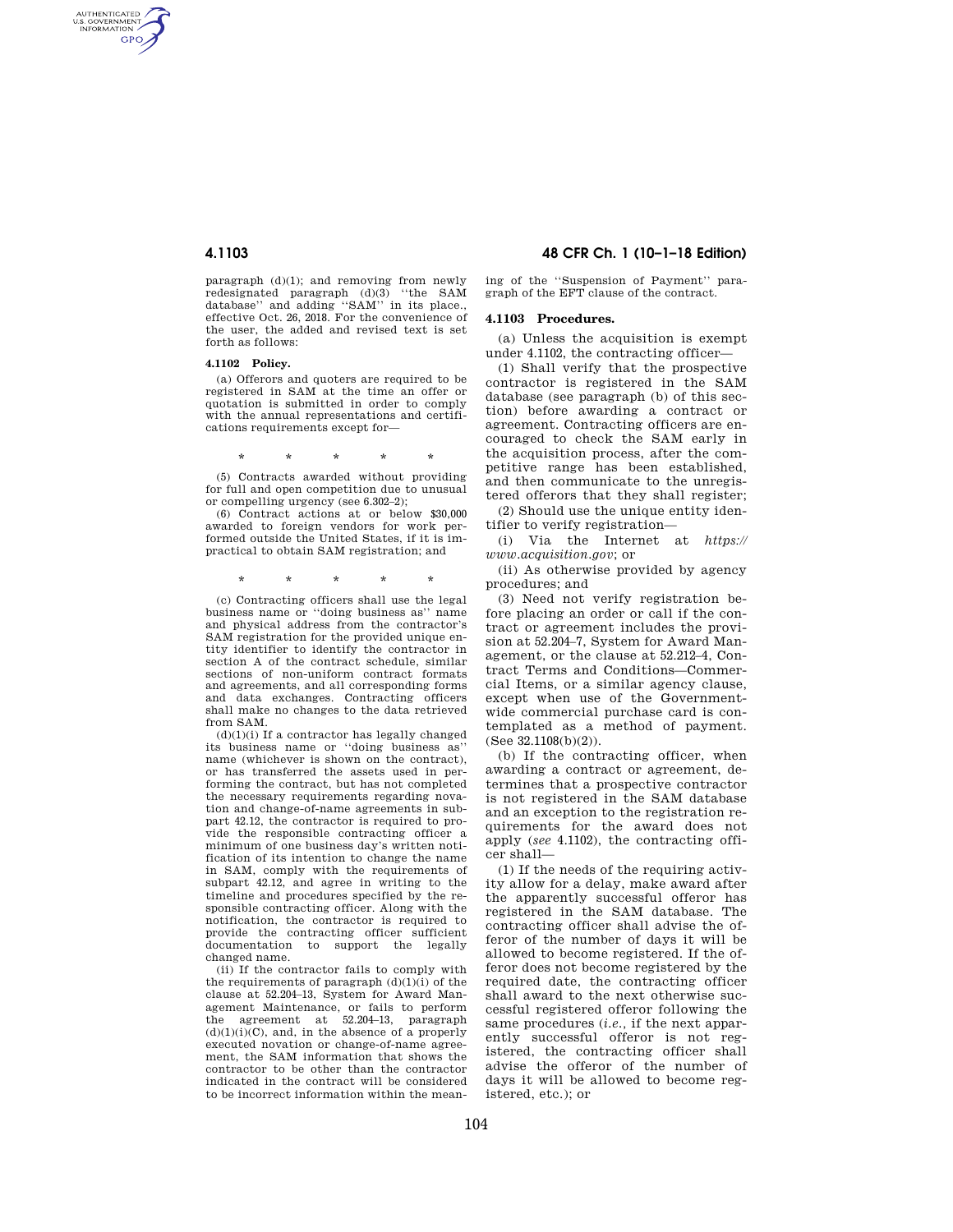AUTHENTICATED<br>U.S. GOVERNMENT<br>INFORMATION **GPO** 

> paragraph (d)(1); and removing from newly redesignated paragraph (d)(3) ''the SAM database'' and adding ''SAM'' in its place., effective Oct. 26, 2018. For the convenience of the user, the added and revised text is set forth as follows:

#### **4.1102 Policy.**

(a) Offerors and quoters are required to be registered in SAM at the time an offer or quotation is submitted in order to comply with the annual representations and certifications requirements except for—

\* \* \* \* \*

(5) Contracts awarded without providing for full and open competition due to unusual or compelling urgency (see 6.302–2);

(6) Contract actions at or below \$30,000 awarded to foreign vendors for work performed outside the United States, if it is impractical to obtain SAM registration; and

\* \* \* \* \*

(c) Contracting officers shall use the legal business name or ''doing business as'' name and physical address from the contractor's SAM registration for the provided unique entity identifier to identify the contractor in section A of the contract schedule, similar sections of non-uniform contract formats and agreements, and all corresponding forms and data exchanges. Contracting officers shall make no changes to the data retrieved from SAM.

 $(d)(1)(i)$  If a contractor has legally changed its business name or ''doing business as'' name (whichever is shown on the contract), or has transferred the assets used in performing the contract, but has not completed the necessary requirements regarding novation and change-of-name agreements in subpart 42.12, the contractor is required to provide the responsible contracting officer a minimum of one business day's written notification of its intention to change the name in SAM, comply with the requirements of subpart 42.12, and agree in writing to the timeline and procedures specified by the responsible contracting officer. Along with the notification, the contractor is required to provide the contracting officer sufficient documentation to support the legally changed name.

(ii) If the contractor fails to comply with the requirements of paragraph  $(d)(1)(i)$  of the clause at 52.204–13, System for Award Management Maintenance, or fails to perform the agreement at 52.204–13, paragraph  $(d)(1)(i)(C)$ , and, in the absence of a properly executed novation or change-of-name agreement, the SAM information that shows the contractor to be other than the contractor indicated in the contract will be considered to be incorrect information within the mean-

**4.1103 48 CFR Ch. 1 (10–1–18 Edition)** 

ing of the ''Suspension of Payment'' paragraph of the EFT clause of the contract.

# **4.1103 Procedures.**

(a) Unless the acquisition is exempt under 4.1102, the contracting officer—

(1) Shall verify that the prospective contractor is registered in the SAM database (see paragraph (b) of this section) before awarding a contract or agreement. Contracting officers are encouraged to check the SAM early in the acquisition process, after the competitive range has been established, and then communicate to the unregistered offerors that they shall register; (2) Should use the unique entity iden-

tifier to verify registration—

(i) Via the Internet at *https:// www.acquisition.gov*; or

(ii) As otherwise provided by agency procedures; and

(3) Need not verify registration before placing an order or call if the contract or agreement includes the provision at 52.204–7, System for Award Management, or the clause at 52.212–4, Contract Terms and Conditions—Commercial Items, or a similar agency clause, except when use of the Governmentwide commercial purchase card is contemplated as a method of payment. (See 32.1108(b)(2)).

(b) If the contracting officer, when awarding a contract or agreement, determines that a prospective contractor is not registered in the SAM database and an exception to the registration requirements for the award does not apply (*see* 4.1102), the contracting officer shall—

(1) If the needs of the requiring activity allow for a delay, make award after the apparently successful offeror has registered in the SAM database. The contracting officer shall advise the offeror of the number of days it will be allowed to become registered. If the offeror does not become registered by the required date, the contracting officer shall award to the next otherwise successful registered offeror following the same procedures (*i.e.,* if the next apparently successful offeror is not registered, the contracting officer shall advise the offeror of the number of days it will be allowed to become registered, etc.); or